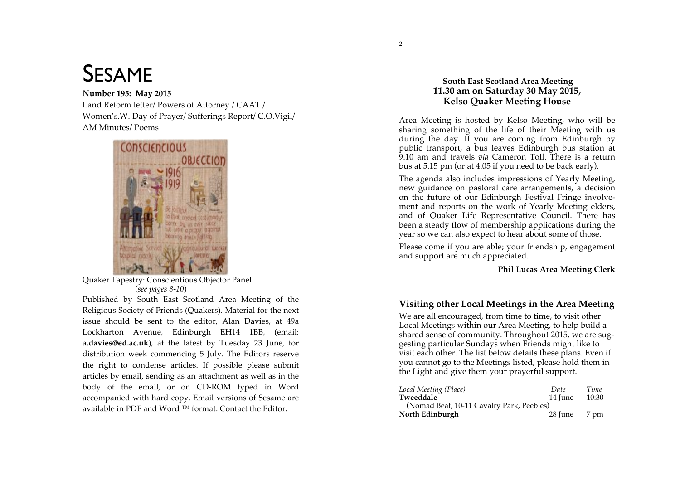# SESAME

Number 195: May 2015

Land Reform letter/ Powers of Attorney / CAAT / Women's.W. Day of Prayer/ Sufferings Report/ C.O.Vigil/ AM Minutes/ Poems



Quaker Tapestry: Conscientious Objector Panel (*see pages 8-10*)

Published by South East Scotland Area Meeting of the Religious Society of Friends (Quakers). Material for the next issue should be sent to the editor. Alan Davies, at 49a Lockharton Avenue, Edinburgh EH14 1BB, (email: a.davies@ed.ac.uk), at the latest by Tuesday 23 June, for distribution week commencing 5 July. The Editors reserve the right to condense articles. If possible please submit articles by email, sending as an attachment as well as in the body of the email, or on CD-ROM typed in Word accompanied with hard copy. Email versions of Sesame are available in PDF and Word  $\mathbb{I}^{\mathbb{M}}$  format. Contact the Editor.

## **South East Scotland Area Meeting 11.30 am on Saturday 30 May 2015, Kelso Quaker Meeting House**

Area Meeting is hosted by Kelso Meeting, who will be sharing something of the life of their Meeting with us during the day. If you are coming from Edinburgh by public transport, a bus leaves Edinburgh bus station at 9.10 am and travels *via* Cameron Toll. There is a return bus at 5.15 pm (or at 4.05 if you need to be back early).

The agenda also includes impressions of Yearly Meeting, new guidance on pastoral care arrangements, a decision on the future of our Edinburgh Festival Fringe involvement and reports on the work of Yearly Meeting elders, and of Quaker Life Representative Council. There has been a steady flow of membership applications during the year so we can also expect to hear about some of those.

Please come if you are able; your friendship, engagement and support are much appreciated.

## **Phil Lucas Area Meeting Clerk**

## **Visiting other Local Meetings in the Area Meeting**

We are all encouraged, from time to time, to visit other Local Meetings within our Area Meeting, to help build a shared sense of community. Throughout 2015, we are suggesting particular Sundays when Friends might like to visit each other. The list below details these plans. Even if you cannot go to the Meetings listed, please hold them in the Light and give them your prayerful support.

| Local Meeting (Place)                     | Date    | Time  |
|-------------------------------------------|---------|-------|
| Tweeddale                                 | 14 June | 10:30 |
| (Nomad Beat, 10-11 Cavalry Park, Peebles) |         |       |
| North Edinburgh                           | 28 June | 7 pm  |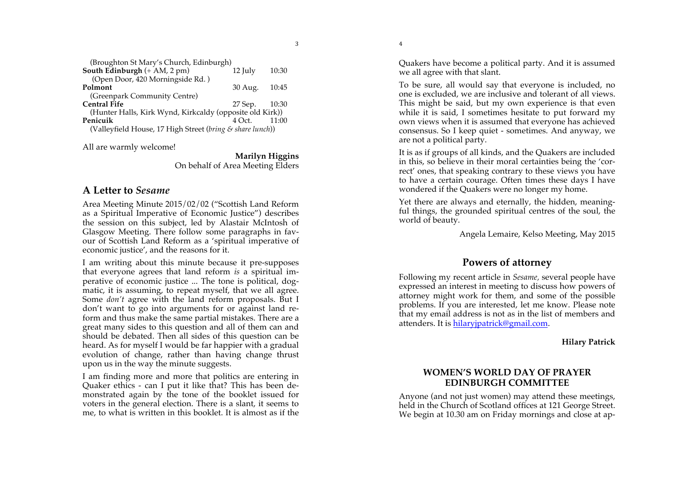| ٩       |  |  |
|---------|--|--|
| ×       |  |  |
| ٦       |  |  |
| ۰,<br>× |  |  |

| (Broughton St Mary's Church, Edinburgh)                   |       |  |  |
|-----------------------------------------------------------|-------|--|--|
| 12 July                                                   | 10:30 |  |  |
|                                                           |       |  |  |
| 30 Aug.                                                   | 10:45 |  |  |
|                                                           |       |  |  |
| 27 Sep.                                                   | 10:30 |  |  |
| (Hunter Halls, Kirk Wynd, Kirkcaldy (opposite old Kirk))  |       |  |  |
| $4$ Oct                                                   | 11:00 |  |  |
| (Valleyfield House, 17 High Street (bring & share lunch)) |       |  |  |
|                                                           |       |  |  |

All are warmly welcome!

**Marilyn Higgins** 

On behalf of Area Meeting Elders

# **A Letter to** *Sesame*

Area Meeting Minute 2015/02/02 ("Scottish Land Reform as a Spiritual Imperative of Economic Justice") describes the session on this subject, led by Alastair McIntosh of Glasgow Meeting. There follow some paragraphs in favour of Scottish Land Reform as a 'spiritual imperative of economic justice', and the reasons for it.

I am writing about this minute because it pre-supposes that everyone agrees that land reform *is* a spiritual imperative of economic justice ... The tone is political, dogmatic, it is assuming, to repeat myself, that we all agree. Some *don't* agree with the land reform proposals. But I don't want to go into arguments for or against land reform and thus make the same partial mistakes. There are a great many sides to this question and all of them can and should be debated. Then all sides of this question can be heard. As for myself I would be far happier with a gradual evolution of change, rather than having change thrust upon us in the way the minute suggests.

I am finding more and more that politics are entering in Quaker ethics - can I put it like that? This has been demonstrated again by the tone of the booklet issued for voters in the general election. There is a slant, it seems to me, to what is written in this booklet. It is almost as if the Quakers have become a political party. And it is assumed we all agree with that slant.

To be sure, all would say that everyone is included, no one is excluded, we are inclusive and tolerant of all views. This might be said, but my own experience is that even while it is said, I sometimes hesitate to put forward my own views when it is assumed that everyone has achieved consensus. So I keep quiet - sometimes. And anyway, we are not a political party.

It is as if groups of all kinds, and the Quakers are included in this, so believe in their moral certainties being the 'correct' ones, that speaking contrary to these views you have to have a certain courage. Often times these days I have wondered if the Quakers were no longer my home.

Yet there are always and eternally, the hidden, meaningful things, the grounded spiritual centres of the soul, the world of beauty.

Angela Lemaire, Kelso Meeting, May 2015

# **Powers of attorney**

Following my recent article in *Sesame,* several people have expressed an interest in meeting to discuss how powers of attorney might work for them, and some of the possible problems. If you are interested, let me know. Please note that my email address is not as in the list of members and attenders. It is hilaryjpatrick@gmail.com.

**Hilary Patrick**

## **WOMEN'S WORLD DAY OF PRAYER EDINBURGH COMMITTEE**

Anyone (and not just women) may attend these meetings, held in the Church of Scotland offices at 121 George Street. We begin at 10.30 am on Friday mornings and close at ap-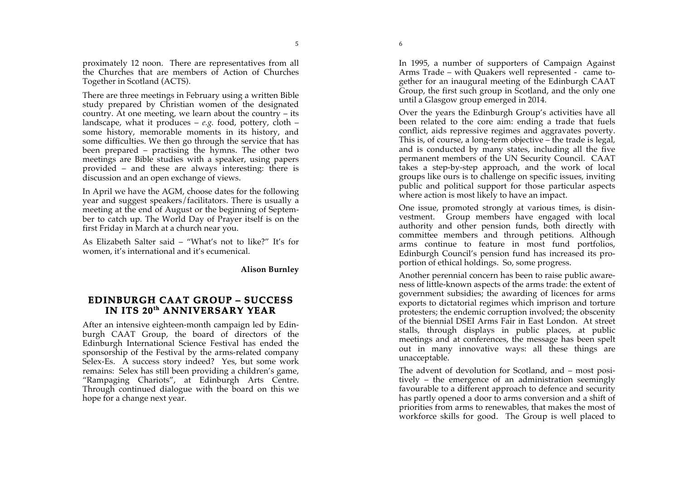6

proximately 12 noon. There are representatives from all the Churches that are members of Action of Churches Together in Scotland (ACTS).

There are three meetings in February using a written Bible study prepared by Christian women of the designated country. At one meeting, we learn about the country – its landscape, what it produces  $- e.g.$  food, pottery, cloth  $$ some history, memorable moments in its history, and some difficulties. We then go through the service that has been prepared – practising the hymns. The other two meetings are Bible studies with a speaker, using papers provided – and these are always interesting: there is discussion and an open exchange of views.

In April we have the AGM, choose dates for the following year and suggest speakers/facilitators. There is usually a meeting at the end of August or the beginning of September to catch up. The World Day of Prayer itself is on the first Friday in March at a church near you.

As Elizabeth Salter said – "What's not to like?" It's for women, it's international and it's ecumenical.

**Alison Burnley** 

## **EDINBURGH CAAT GROUP – SUCCESS IN ITS 20th ANNIVERSARY YEAR**

After an intensive eighteen-month campaign led by Edinburgh CAAT Group, the board of directors of the Edinburgh International Science Festival has ended the sponsorship of the Festival by the arms-related company Selex-Es. A success story indeed? Yes, but some work remains: Selex has still been providing a children's game, "Rampaging Chariots", at Edinburgh Arts Centre. Through continued dialogue with the board on this we hope for a change next year.

In 1995, a number of supporters of Campaign Against Arms Trade – with Quakers well represented - came together for an inaugural meeting of the Edinburgh CAAT Group, the first such group in Scotland, and the only one until a Glasgow group emerged in 2014.

Over the years the Edinburgh Group's activities have all been related to the core aim: ending a trade that fuels conflict, aids repressive regimes and aggravates poverty. This is, of course, a long-term objective – the trade is legal, and is conducted by many states, including all the five permanent members of the UN Security Council. CAAT takes a step-by-step approach, and the work of local groups like ours is to challenge on specific issues, inviting public and political support for those particular aspects where action is most likely to have an impact.

One issue, promoted strongly at various times, is disinvestment. Group members have engaged with local authority and other pension funds, both directly with committee members and through petitions. Although arms continue to feature in most fund portfolios, Edinburgh Council's pension fund has increased its proportion of ethical holdings. So, some progress.

Another perennial concern has been to raise public awareness of little-known aspects of the arms trade: the extent of government subsidies; the awarding of licences for arms exports to dictatorial regimes which imprison and torture protesters; the endemic corruption involved; the obscenity of the biennial DSEI Arms Fair in East London. At street stalls, through displays in public places, at public meetings and at conferences, the message has been spelt out in many innovative ways: all these things are unacceptable.

The advent of devolution for Scotland, and – most positively – the emergence of an administration seemingly favourable to a different approach to defence and security has partly opened a door to arms conversion and a shift of priorities from arms to renewables, that makes the most of workforce skills for good. The Group is well placed to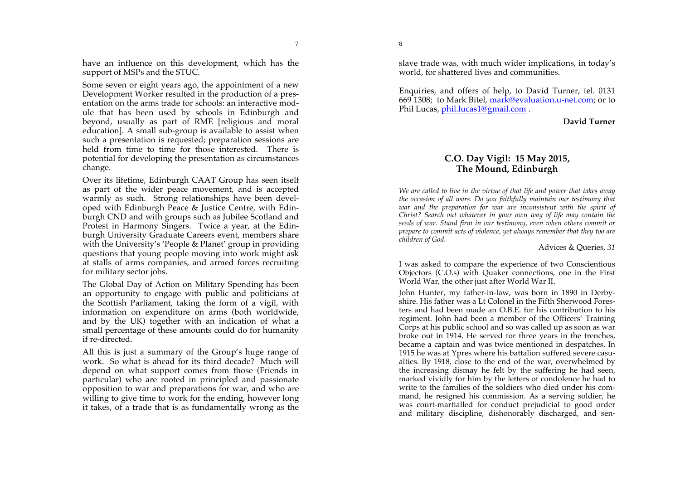have an influence on this development, which has the support of MSPs and the STUC.

Some seven or eight years ago, the appointment of a new Development Worker resulted in the production of a presentation on the arms trade for schools: an interactive module that has been used by schools in Edinburgh and beyond, usually as part of RME [religious and moral education]. A small sub-group is available to assist when such a presentation is requested; preparation sessions are held from time to time for those interested. There is potential for developing the presentation as circumstances change.

Over its lifetime, Edinburgh CAAT Group has seen itself as part of the wider peace movement, and is accepted warmly as such. Strong relationships have been developed with Edinburgh Peace & Justice Centre, with Edinburgh CND and with groups such as Jubilee Scotland and Protest in Harmony Singers. Twice a year, at the Edinburgh University Graduate Careers event, members share with the University's 'People & Planet' group in providing questions that young people moving into work might ask at stalls of arms companies, and armed forces recruiting for military sector jobs.

The Global Day of Action on Military Spending has been an opportunity to engage with public and politicians at the Scottish Parliament, taking the form of a vigil, with information on expenditure on arms (both worldwide, and by the UK) together with an indication of what a small percentage of these amounts could do for humanity if re-directed.

All this is just a summary of the Group's huge range of work. So what is ahead for its third decade? Much will depend on what support comes from those (Friends in particular) who are rooted in principled and passionate opposition to war and preparations for war, and who are willing to give time to work for the ending, however long it takes, of a trade that is as fundamentally wrong as the slave trade was, with much wider implications, in today's world, for shattered lives and communities.

Enquiries, and offers of help, to David Turner, tel. 0131 669 1308; to Mark Bitel, mark@evaluation.u-net.com; or to Phil Lucas, phil.lucas1@gmail.com .

**David Turner**

## **C.O. Day Vigil: 15 May 2015, The Mound, Edinburgh**

*We are called to live in the virtue of that life and power that takes away the occasion of all wars. Do you faithfully maintain our testimony that war and the preparation for war are inconsistent with the spirit of Christ? Search out whatever in your own way of life may contain the seeds of war. Stand firm in our testimony, even when others commit or prepare to commit acts of violence, yet always remember that they too are children of God.*

Advices & Queries, *31*

I was asked to compare the experience of two Conscientious Objectors (C.O.s) with Quaker connections, one in the First World War, the other just after World War II.

John Hunter, my father-in-law, was born in 1890 in Derbyshire. His father was a Lt Colonel in the Fifth Sherwood Foresters and had been made an O.B.E. for his contribution to his regiment. John had been a member of the Officers' Training Corps at his public school and so was called up as soon as war broke out in 1914. He served for three years in the trenches, became a captain and was twice mentioned in despatches. In 1915 he was at Ypres where his battalion suffered severe casualties. By 1918, close to the end of the war, overwhelmed by the increasing dismay he felt by the suffering he had seen, marked vividly for him by the letters of condolence he had to write to the families of the soldiers who died under his command, he resigned his commission. As a serving soldier, he was court-martialled for conduct prejudicial to good order and military discipline, dishonorably discharged, and sen-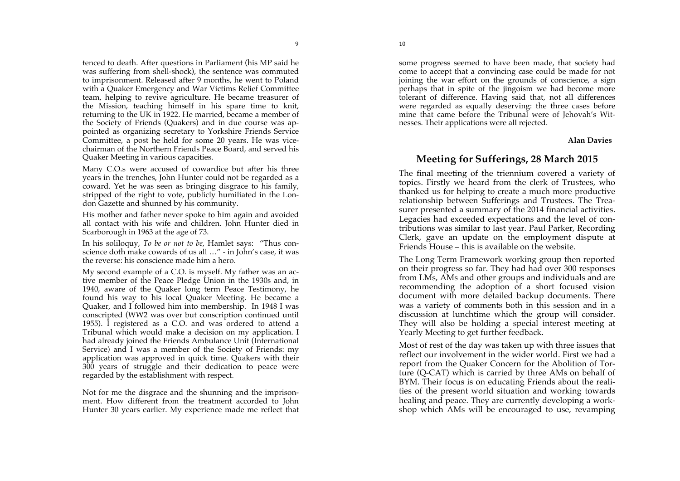tenced to death. After questions in Parliament (his MP said he was suffering from shell-shock), the sentence was commuted to imprisonment. Released after 9 months, he went to Poland with a Quaker Emergency and War Victims Relief Committee team, helping to revive agriculture. He became treasurer of the Mission, teaching himself in his spare time to knit, returning to the UK in 1922. He married, became a member of the Society of Friends (Quakers) and in due course was appointed as organizing secretary to Yorkshire Friends Service Committee, a post he held for some 20 years. He was vicechairman of the Northern Friends Peace Board, and served his Quaker Meeting in various capacities.

Many C.O.s were accused of cowardice but after his three years in the trenches, John Hunter could not be regarded as a coward. Yet he was seen as bringing disgrace to his family, stripped of the right to vote, publicly humiliated in the London Gazette and shunned by his community.

His mother and father never spoke to him again and avoided all contact with his wife and children. John Hunter died in Scarborough in 1963 at the age of 73.

In his soliloquy, *To be or not to be*, Hamlet says: "Thus conscience doth make cowards of us all …" - in John's case, it was the reverse: his conscience made him a hero.

My second example of a C.O. is myself. My father was an active member of the Peace Pledge Union in the 1930s and, in 1940, aware of the Quaker long term Peace Testimony, he found his way to his local Quaker Meeting. He became a Quaker, and I followed him into membership. In 1948 I was conscripted (WW2 was over but conscription continued until 1955). I registered as a C.O. and was ordered to attend a Tribunal which would make a decision on my application. I had already joined the Friends Ambulance Unit (International Service) and I was a member of the Society of Friends: my application was approved in quick time. Quakers with their 300 years of struggle and their dedication to peace were regarded by the establishment with respect.

Not for me the disgrace and the shunning and the imprisonment. How different from the treatment accorded to John Hunter 30 years earlier. My experience made me reflect that some progress seemed to have been made, that society had come to accept that a convincing case could be made for not joining the war effort on the grounds of conscience, a sign perhaps that in spite of the jingoism we had become more tolerant of difference. Having said that, not all differences were regarded as equally deserving: the three cases before mine that came before the Tribunal were of Jehovah's Witnesses. Their applications were all rejected.

#### **Alan Davies**

## **Meeting for Sufferings, 28 March 2015**

The final meeting of the triennium covered a variety of topics. Firstly we heard from the clerk of Trustees, who thanked us for helping to create a much more productive relationship between Sufferings and Trustees. The Treasurer presented a summary of the 2014 financial activities. Legacies had exceeded expectations and the level of contributions was similar to last year. Paul Parker, Recording Clerk, gave an update on the employment dispute at Friends House – this is available on the website.

The Long Term Framework working group then reported on their progress so far. They had had over 300 responses from LMs, AMs and other groups and individuals and are recommending the adoption of a short focused vision document with more detailed backup documents. There was a variety of comments both in this session and in a discussion at lunchtime which the group will consider. They will also be holding a special interest meeting at Yearly Meeting to get further feedback.

Most of rest of the day was taken up with three issues that reflect our involvement in the wider world. First we had a report from the Quaker Concern for the Abolition of Torture (Q-CAT) which is carried by three AMs on behalf of BYM. Their focus is on educating Friends about the realities of the present world situation and working towards healing and peace. They are currently developing a workshop which AMs will be encouraged to use, revamping

10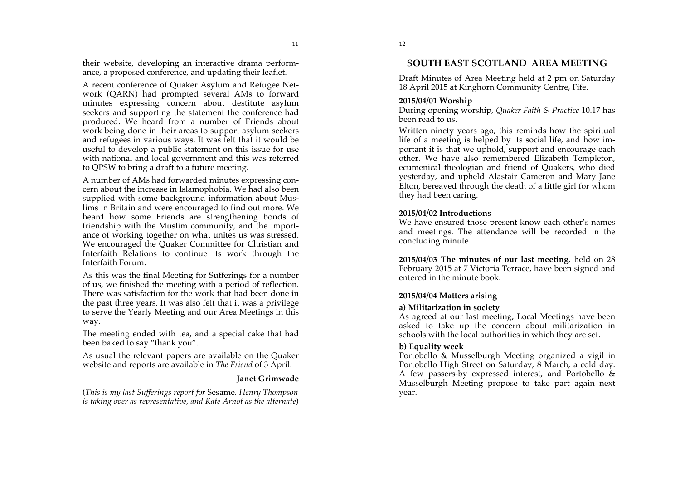their website, developing an interactive drama performance, a proposed conference, and updating their leaflet.

A recent conference of Quaker Asylum and Refugee Network (QARN) had prompted several AMs to forward minutes expressing concern about destitute asylum seekers and supporting the statement the conference had produced. We heard from a number of Friends about work being done in their areas to support asylum seekers and refugees in various ways. It was felt that it would be useful to develop a public statement on this issue for use with national and local government and this was referred to QPSW to bring a draft to a future meeting.

A number of AMs had forwarded minutes expressing concern about the increase in Islamophobia. We had also been supplied with some background information about Muslims in Britain and were encouraged to find out more. We heard how some Friends are strengthening bonds of friendship with the Muslim community, and the importance of working together on what unites us was stressed. We encouraged the Quaker Committee for Christian and Interfaith Relations to continue its work through the Interfaith Forum.

As this was the final Meeting for Sufferings for a number of us, we finished the meeting with a period of reflection. There was satisfaction for the work that had been done in the past three years. It was also felt that it was a privilege to serve the Yearly Meeting and our Area Meetings in this way.

The meeting ended with tea, and a special cake that had been baked to say "thank you".

As usual the relevant papers are available on the Quaker website and reports are available in *The Friend* of 3 April.

#### **Janet Grimwade**

(*This is my last Sufferings report for* Sesame*. Henry Thompson is taking over as representative, and Kate Arnot as the alternate*)

## **SOUTH EAST SCOTLAND AREA MEETING**

Draft Minutes of Area Meeting held at 2 pm on Saturday 18 April 2015 at Kinghorn Community Centre, Fife.

#### **2015/04/01 Worship**

During opening worship, *Quaker Faith & Practice* 10.17 has been read to us.

Written ninety years ago, this reminds how the spiritual life of a meeting is helped by its social life, and how important it is that we uphold, support and encourage each other. We have also remembered Elizabeth Templeton, ecumenical theologian and friend of Quakers, who died yesterday, and upheld Alastair Cameron and Mary Jane Elton, bereaved through the death of a little girl for whom they had been caring.

#### **2015/04/02 Introductions**

We have ensured those present know each other's names and meetings. The attendance will be recorded in the concluding minute.

**2015/04/03 The minutes of our last meeting**, held on 28 February 2015 at 7 Victoria Terrace, have been signed and entered in the minute book.

#### **2015/04/04 Matters arising**

#### **a) Militarization in society**

As agreed at our last meeting, Local Meetings have been asked to take up the concern about militarization in schools with the local authorities in which they are set.

#### **b) Equality week**

Portobello & Musselburgh Meeting organized a vigil in Portobello High Street on Saturday, 8 March, a cold day. A few passers-by expressed interest, and Portobello & Musselburgh Meeting propose to take part again next year.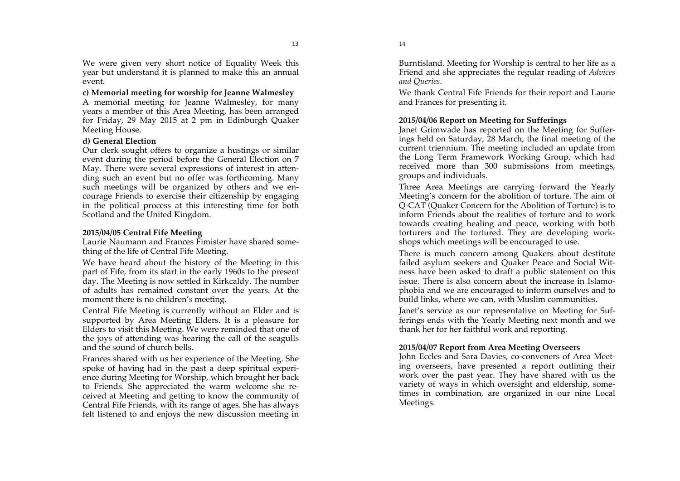We were given very short notice of Equality Week this year but understand it is planned to make this an annual event.

#### **c) Memorial meeting for worship for Jeanne Walmesley**

A memorial meeting for Jeanne Walmesley, for many years a member of this Area Meeting, has been arranged for Friday, 29 May 2015 at 2 pm in Edinburgh Quaker Meeting House.

## **d) General Election**

Our clerk sought offers to organize a hustings or similar event during the period before the General Election on 7 May. There were several expressions of interest in attending such an event but no offer was forthcoming. Many such meetings will be organized by others and we encourage Friends to exercise their citizenship by engaging in the political process at this interesting time for both Scotland and the United Kingdom.

#### **2015/04/05 Central Fife Meeting**

Laurie Naumann and Frances Fimister have shared something of the life of Central Fife Meeting.

We have heard about the history of the Meeting in this part of Fife, from its start in the early 1960s to the present day. The Meeting is now settled in Kirkcaldy. The number of adults has remained constant over the years. At the moment there is no children's meeting.

Central Fife Meeting is currently without an Elder and is supported by Area Meeting Elders. It is a pleasure for Elders to visit this Meeting. We were reminded that one of the joys of attending was hearing the call of the seagulls and the sound of church bells.

Frances shared with us her experience of the Meeting. She spoke of having had in the past a deep spiritual experience during Meeting for Worship, which brought her back to Friends. She appreciated the warm welcome she received at Meeting and getting to know the community of Central Fife Friends, with its range of ages. She has always felt listened to and enjoys the new discussion meeting in Burntisland. Meeting for Worship is central to her life as a Friend and she appreciates the regular reading of *Advices and Queries*.

We thank Central Fife Friends for their report and Laurie and Frances for presenting it.

#### **2015/04/06 Report on Meeting for Sufferings**

Janet Grimwade has reported on the Meeting for Sufferings held on Saturday, 28 March, the final meeting of the current triennium. The meeting included an update from the Long Term Framework Working Group, which had received more than 300 submissions from meetings, groups and individuals.

Three Area Meetings are carrying forward the Yearly Meeting's concern for the abolition of torture. The aim of Q-CAT (Quaker Concern for the Abolition of Torture) is to inform Friends about the realities of torture and to work towards creating healing and peace, working with both torturers and the tortured. They are developing workshops which meetings will be encouraged to use.

There is much concern among Quakers about destitute failed asylum seekers and Quaker Peace and Social Witness have been asked to draft a public statement on this issue. There is also concern about the increase in Islamophobia and we are encouraged to inform ourselves and to build links, where we can, with Muslim communities.

Janet's service as our representative on Meeting for Sufferings ends with the Yearly Meeting next month and we thank her for her faithful work and reporting.

#### **2015/04/07 Report from Area Meeting Overseers**

John Eccles and Sara Davies, co-conveners of Area Meeting overseers, have presented a report outlining their work over the past year. They have shared with us the variety of ways in which oversight and eldership, sometimes in combination, are organized in our nine Local Meetings.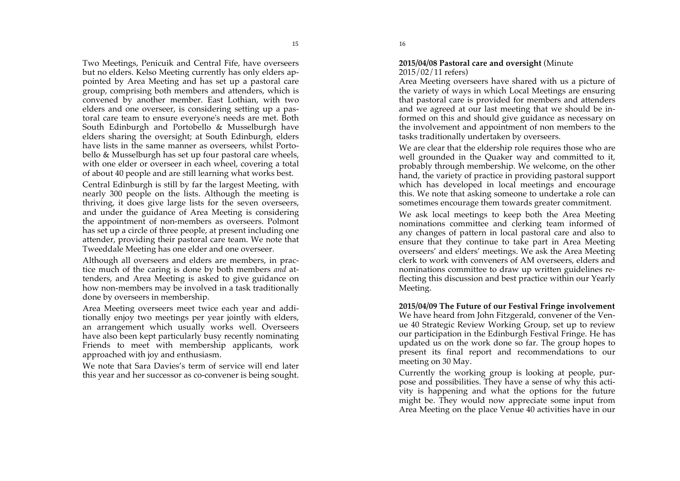Two Meetings, Penicuik and Central Fife, have overseers but no elders. Kelso Meeting currently has only elders appointed by Area Meeting and has set up a pastoral care group, comprising both members and attenders, which is convened by another member. East Lothian, with two elders and one overseer, is considering setting up a pastoral care team to ensure everyone's needs are met. Both South Edinburgh and Portobello & Musselburgh have elders sharing the oversight; at South Edinburgh, elders have lists in the same manner as overseers, whilst Portobello & Musselburgh has set up four pastoral care wheels, with one elder or overseer in each wheel, covering a total of about 40 people and are still learning what works best.

Central Edinburgh is still by far the largest Meeting, with nearly 300 people on the lists. Although the meeting is thriving, it does give large lists for the seven overseers, and under the guidance of Area Meeting is considering the appointment of non-members as overseers. Polmont has set up a circle of three people, at present including one attender, providing their pastoral care team. We note that Tweeddale Meeting has one elder and one overseer.

Although all overseers and elders are members, in practice much of the caring is done by both members *and* attenders, and Area Meeting is asked to give guidance on how non-members may be involved in a task traditionally done by overseers in membership.

Area Meeting overseers meet twice each year and additionally enjoy two meetings per year jointly with elders, an arrangement which usually works well. Overseers have also been kept particularly busy recently nominating Friends to meet with membership applicants, work approached with joy and enthusiasm.

We note that Sara Davies's term of service will end later this year and her successor as co-convener is being sought.

#### **2015/04/08 Pastoral care and oversight** (Minute 2015/02/11 refers)

Area Meeting overseers have shared with us a picture of the variety of ways in which Local Meetings are ensuring that pastoral care is provided for members and attenders and we agreed at our last meeting that we should be informed on this and should give guidance as necessary on the involvement and appointment of non members to the tasks traditionally undertaken by overseers.

We are clear that the eldership role requires those who are well grounded in the Quaker way and committed to it, probably through membership. We welcome, on the other hand, the variety of practice in providing pastoral support which has developed in local meetings and encourage this. We note that asking someone to undertake a role can sometimes encourage them towards greater commitment.

We ask local meetings to keep both the Area Meeting nominations committee and clerking team informed of any changes of pattern in local pastoral care and also to ensure that they continue to take part in Area Meeting overseers' and elders' meetings. We ask the Area Meeting clerk to work with conveners of AM overseers, elders and nominations committee to draw up written guidelines reflecting this discussion and best practice within our Yearly Meeting.

**2015/04/09 The Future of our Festival Fringe involvement**  We have heard from John Fitzgerald, convener of the Venue 40 Strategic Review Working Group, set up to review our participation in the Edinburgh Festival Fringe. He has updated us on the work done so far. The group hopes to present its final report and recommendations to our meeting on 30 May.

Currently the working group is looking at people, purpose and possibilities. They have a sense of why this activity is happening and what the options for the future might be. They would now appreciate some input from Area Meeting on the place Venue 40 activities have in our

16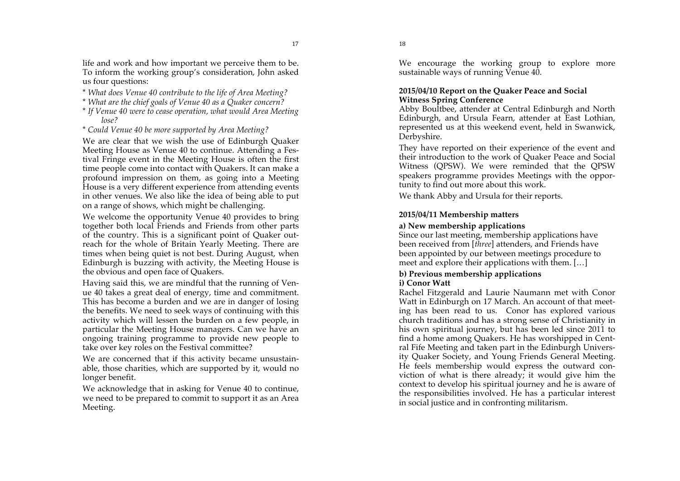life and work and how important we perceive them to be. To inform the working group's consideration, John asked us four questions:

- \* *What does Venue 40 contribute to the life of Area Meeting?*
- \* *What are the chief goals of Venue 40 as a Quaker concern?*
- \* *If Venue 40 were to cease operation, what would Area Meeting lose?*
- \* *Could Venue 40 be more supported by Area Meeting?*

We are clear that we wish the use of Edinburgh Quaker Meeting House as Venue 40 to continue. Attending a Festival Fringe event in the Meeting House is often the first time people come into contact with Quakers. It can make a profound impression on them, as going into a Meeting House is a very different experience from attending events in other venues. We also like the idea of being able to put on a range of shows, which might be challenging.

We welcome the opportunity Venue 40 provides to bring together both local Friends and Friends from other parts of the country. This is a significant point of Quaker outreach for the whole of Britain Yearly Meeting. There are times when being quiet is not best. During August, when Edinburgh is buzzing with activity, the Meeting House is the obvious and open face of Quakers.

Having said this, we are mindful that the running of Venue 40 takes a great deal of energy, time and commitment. This has become a burden and we are in danger of losing the benefits. We need to seek ways of continuing with this activity which will lessen the burden on a few people, in particular the Meeting House managers. Can we have an ongoing training programme to provide new people to take over key roles on the Festival committee?

We are concerned that if this activity became unsustainable, those charities, which are supported by it, would no longer benefit.

We acknowledge that in asking for Venue 40 to continue, we need to be prepared to commit to support it as an Area Meeting.

18

We encourage the working group to explore more sustainable ways of running Venue 40.

#### **2015/04/10 Report on the Quaker Peace and Social Witness Spring Conference**

Abby Boultbee, attender at Central Edinburgh and North Edinburgh, and Ursula Fearn, attender at East Lothian, represented us at this weekend event, held in Swanwick, Derbyshire.

They have reported on their experience of the event and their introduction to the work of Quaker Peace and Social Witness (QPSW). We were reminded that the QPSW speakers programme provides Meetings with the opportunity to find out more about this work.

We thank Abby and Ursula for their reports.

#### **2015/04/11 Membership matters**

#### **a) New membership applications**

Since our last meeting, membership applications have been received from [*three*] attenders, and Friends have been appointed by our between meetings procedure to meet and explore their applications with them. […]

#### **b) Previous membership applications i) Conor Watt**

Rachel Fitzgerald and Laurie Naumann met with Conor Watt in Edinburgh on 17 March. An account of that meeting has been read to us. Conor has explored various church traditions and has a strong sense of Christianity in his own spiritual journey, but has been led since 2011 to find a home among Quakers. He has worshipped in Central Fife Meeting and taken part in the Edinburgh University Quaker Society, and Young Friends General Meeting. He feels membership would express the outward conviction of what is there already; it would give him the context to develop his spiritual journey and he is aware of the responsibilities involved. He has a particular interest in social justice and in confronting militarism.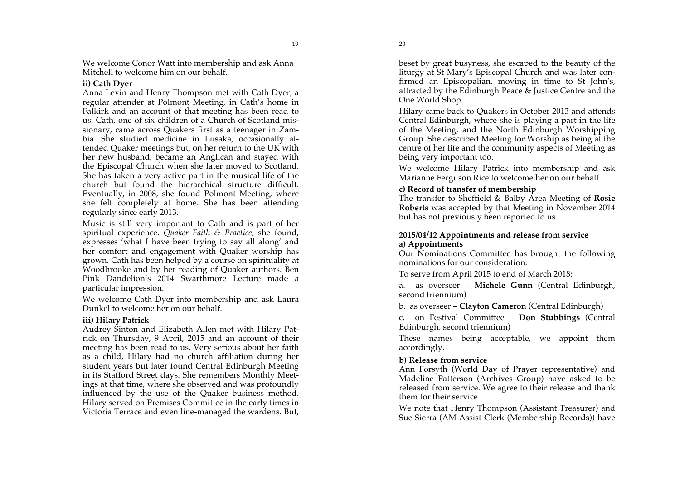We welcome Conor Watt into membership and ask Anna Mitchell to welcome him on our behalf.

#### **ii) Cath Dyer**

Anna Levin and Henry Thompson met with Cath Dyer, a regular attender at Polmont Meeting, in Cath's home in Falkirk and an account of that meeting has been read to us. Cath, one of six children of a Church of Scotland missionary, came across Quakers first as a teenager in Zambia. She studied medicine in Lusaka, occasionally attended Quaker meetings but, on her return to the UK with her new husband, became an Anglican and stayed with the Episcopal Church when she later moved to Scotland. She has taken a very active part in the musical life of the church but found the hierarchical structure difficult. Eventually, in 2008, she found Polmont Meeting, where she felt completely at home. She has been attending regularly since early 2013.

Music is still very important to Cath and is part of her spiritual experience. *Quaker Faith & Practice,* she found, expresses 'what I have been trying to say all along' and her comfort and engagement with Quaker worship has grown. Cath has been helped by a course on spirituality at Woodbrooke and by her reading of Quaker authors. Ben Pink Dandelion's 2014 Swarthmore Lecture made a particular impression.

We welcome Cath Dyer into membership and ask Laura Dunkel to welcome her on our behalf.

#### **iii) Hilary Patrick**

Audrey Sinton and Elizabeth Allen met with Hilary Patrick on Thursday, 9 April, 2015 and an account of their meeting has been read to us. Very serious about her faith as a child, Hilary had no church affiliation during her student years but later found Central Edinburgh Meeting in its Stafford Street days. She remembers Monthly Meetings at that time, where she observed and was profoundly influenced by the use of the Quaker business method. Hilary served on Premises Committee in the early times in Victoria Terrace and even line-managed the wardens. But,

beset by great busyness, she escaped to the beauty of the liturgy at St Mary's Episcopal Church and was later confirmed an Episcopalian, moving in time to St John's, attracted by the Edinburgh Peace & Justice Centre and the One World Shop.

Hilary came back to Quakers in October 2013 and attends Central Edinburgh, where she is playing a part in the life of the Meeting, and the North Edinburgh Worshipping Group. She described Meeting for Worship as being at the centre of her life and the community aspects of Meeting as being very important too.

We welcome Hilary Patrick into membership and ask Marianne Ferguson Rice to welcome her on our behalf.

#### **c) Record of transfer of membership**

The transfer to Sheffield & Balby Area Meeting of **Rosie Roberts** was accepted by that Meeting in November 2014 but has not previously been reported to us.

#### **2015/04/12 Appointments and release from service a) Appointments**

Our Nominations Committee has brought the following nominations for our consideration:

To serve from April 2015 to end of March 2018:

a. as overseer – **Michele Gunn** (Central Edinburgh, second triennium)

b. as overseer – **Clayton Cameron** (Central Edinburgh)

c. on Festival Committee – **Don Stubbings** (Central Edinburgh, second triennium)

These names being acceptable, we appoint them accordingly.

## **b) Release from service**

Ann Forsyth (World Day of Prayer representative) and Madeline Patterson (Archives Group) have asked to be released from service. We agree to their release and thank them for their service

We note that Henry Thompson (Assistant Treasurer) and Sue Sierra (AM Assist Clerk (Membership Records)) have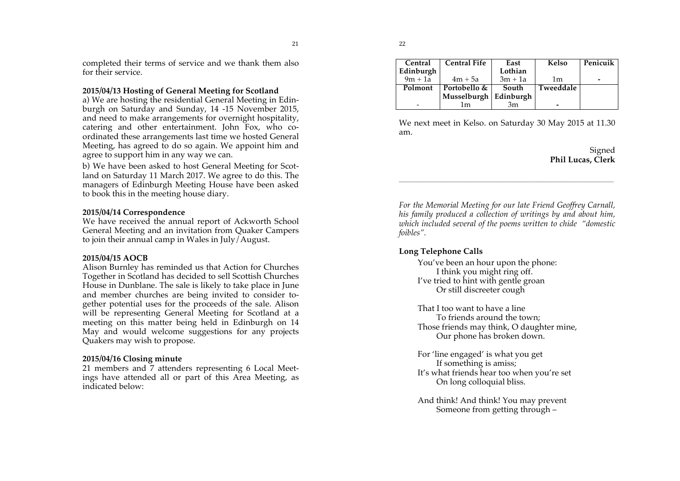completed their terms of service and we thank them also for their service.

## **2015/04/13 Hosting of General Meeting for Scotland**

a) We are hosting the residential General Meeting in Edinburgh on Saturday and Sunday, 14 -15 November 2015, and need to make arrangements for overnight hospitality, catering and other entertainment. John Fox, who coordinated these arrangements last time we hosted General Meeting, has agreed to do so again. We appoint him and agree to support him in any way we can.

b) We have been asked to host General Meeting for Scotland on Saturday 11 March 2017. We agree to do this. The managers of Edinburgh Meeting House have been asked to book this in the meeting house diary.

#### **2015/04/14 Correspondence**

We have received the annual report of Ackworth School General Meeting and an invitation from Quaker Campers to join their annual camp in Wales in July/August.

#### **2015/04/15 AOCB**

Alison Burnley has reminded us that Action for Churches Together in Scotland has decided to sell Scottish Churches House in Dunblane. The sale is likely to take place in June and member churches are being invited to consider together potential uses for the proceeds of the sale. Alison will be representing General Meeting for Scotland at a meeting on this matter being held in Edinburgh on 14 May and would welcome suggestions for any projects Quakers may wish to propose.

#### **2015/04/16 Closing minute**

21 members and 7 attenders representing 6 Local Meetings have attended all or part of this Area Meeting, as indicated below:

| Central   | <b>Central Fife</b>     | East      | Kelso     | Penicuik |
|-----------|-------------------------|-----------|-----------|----------|
| Edinburgh |                         | Lothian   |           |          |
| $9m + 1a$ | $4m + 5a$               | $3m + 1a$ | 1m        | -        |
| Polmont   | Portobello &            | South     | Tweeddale |          |
|           | Musselburgh   Edinburgh |           |           |          |
|           |                         | 3m        |           |          |

We next meet in Kelso. on Saturday 30 May 2015 at 11.30 am.

#### Signed **Phil Lucas, Clerk**

*For the Memorial Meeting for our late Friend Geoffrey Carnall, his family produced a collection of writings by and about him, which included several of the poems written to chide "domestic foibles".* 

\_\_\_\_\_\_\_\_\_\_\_\_\_\_\_\_\_\_\_\_\_\_\_\_\_\_\_\_\_\_\_\_\_\_\_\_\_\_\_\_\_\_\_\_\_\_\_\_\_\_\_\_\_\_\_\_\_\_\_\_\_\_\_\_\_\_\_\_\_\_\_\_\_\_\_\_\_\_\_\_\_\_

#### **Long Telephone Calls**

You've been an hour upon the phone: I think you might ring off. I've tried to hint with gentle groan Or still discreeter cough

That I too want to have a line To friends around the town; Those friends may think, O daughter mine, Our phone has broken down.

For 'line engaged' is what you get If something is amiss; It's what friends hear too when you're set On long colloquial bliss.

And think! And think! You may prevent Someone from getting through –